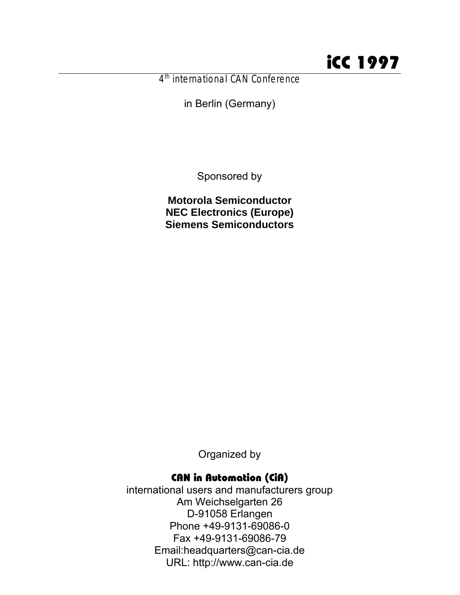4<sup>th</sup> international CAN Conference

in Berlin (Germany)

Sponsored by

**Motorola Semiconductor NEC Electronics (Europe) Siemens Semiconductors**

Organized by

## CAN in Automation (CiA)

international users and manufacturers group Am Weichselgarten 26 D-91058 Erlangen Phone +49-9131-69086-0 Fax +49-9131-69086-79 Email:headquarters@can-cia.de URL: http://www.can-cia.de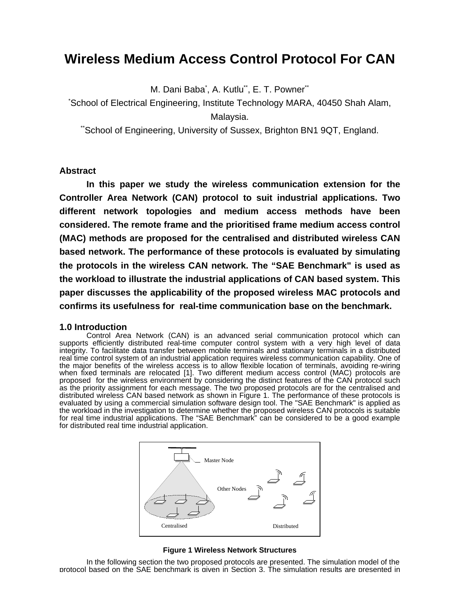# **Wireless Medium Access Control Protocol For CAN**

M. Dani Baba<sup>\*</sup>, A. Kutlu<sup>\*\*</sup>, E. T. Powner<sup>\*\*</sup>

\*School of Electrical Engineering, Institute Technology MARA, 40450 Shah Alam, Malaysia.

"School of Engineering, University of Sussex, Brighton BN1 9QT, England.

## **Abstract**

**In this paper we study the wireless communication extension for the Controller Area Network (CAN) protocol to suit industrial applications. Two different network topologies and medium access methods have been considered. The remote frame and the prioritised frame medium access control (MAC) methods are proposed for the centralised and distributed wireless CAN based network. The performance of these protocols is evaluated by simulating the protocols in the wireless CAN network. The "SAE Benchmark" is used as the workload to illustrate the industrial applications of CAN based system. This paper discusses the applicability of the proposed wireless MAC protocols and confirms its usefulness for real-time communication base on the benchmark.**

## **1.0 Introduction**

Control Area Network (CAN) is an advanced serial communication protocol which can supports efficiently distributed real-time computer control system with a very high level of data integrity. To facilitate data transfer between mobile terminals and stationary terminals in a distributed real time control system of an industrial application requires wireless communication capability. One of the major benefits of the wireless access is to allow flexible location of terminals, avoiding re-wiring when fixed terminals are relocated [1]. Two different medium access control (MAC) protocols are proposed for the wireless environment by considering the distinct features of the CAN protocol such as the priority assignment for each message. The two proposed protocols are for the centralised and distributed wireless CAN based network as shown in Figure 1. The performance of these protocols is evaluated by using a commercial simulation software design tool. The "SAE Benchmark" is applied as the workload in the investigation to determine whether the proposed wireless CAN protocols is suitable for real time industrial applications. The "SAE Benchmark" can be considered to be a good example for distributed real time industrial application.



#### **Figure 1 Wireless Network Structures**

In the following section the two proposed protocols are presented. The simulation model of the protocol based on the SAE benchmark is given in Section 3. The simulation results are presented in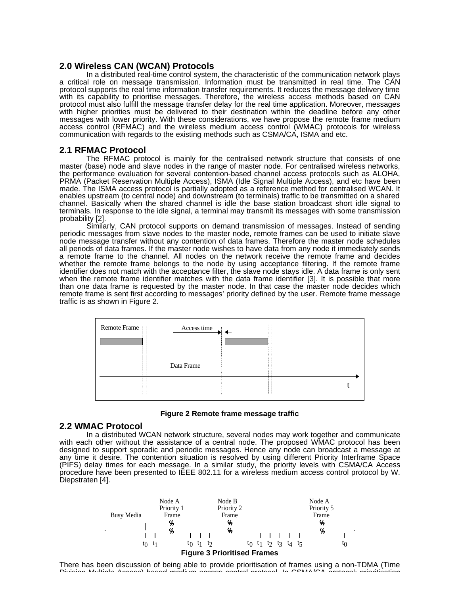### **2.0 Wireless CAN (WCAN) Protocols**

In a distributed real-time control system, the characteristic of the communication network plays a critical role on message transmission. Information must be transmitted in real time. The CAN protocol supports the real time information transfer requirements. It reduces the message delivery time with its capability to prioritise messages. Therefore, the wireless access methods based on CAN protocol must also fulfill the message transfer delay for the real time application. Moreover, messages with higher priorities must be delivered to their destination within the deadline before any other messages with lower priority. With these considerations, we have propose the remote frame medium access control (RFMAC) and the wireless medium access control (WMAC) protocols for wireless communication with regards to the existing methods such as CSMA/CA, ISMA and etc.

## **2.1 RFMAC Protocol**

The RFMAC protocol is mainly for the centralised network structure that consists of one master (base) node and slave nodes in the range of master node. For centralised wireless networks, the performance evaluation for several contention-based channel access protocols such as ALOHA, PRMA (Packet Reservation Multiple Access), ISMA (Idle Signal Multiple Access), and etc have been made. The ISMA access protocol is partially adopted as a reference method for centralised WCAN. It enables upstream (to central node) and downstream (to terminals) traffic to be transmitted on a shared channel. Basically when the shared channel is idle the base station broadcast short idle signal to terminals. In response to the idle signal, a terminal may transmit its messages with some transmission probability [2].

Similarly, CAN protocol supports on demand transmission of messages. Instead of sending periodic messages from slave nodes to the master node, remote frames can be used to initiate slave node message transfer without any contention of data frames. Therefore the master node schedules all periods of data frames. If the master node wishes to have data from any node it immediately sends a remote frame to the channel. All nodes on the network receive the remote frame and decides whether the remote frame belongs to the node by using acceptance filtering. If the remote frame identifier does not match with the acceptance filter, the slave node stays idle. A data frame is only sent when the remote frame identifier matches with the data frame identifier [3]. It is possible that more than one data frame is requested by the master node. In that case the master node decides which remote frame is sent first according to messages' priority defined by the user. Remote frame message traffic is as shown in Figure 2.





#### **2.2 WMAC Protocol**

In a distributed WCAN network structure, several nodes may work together and communicate with each other without the assistance of a central node. The proposed WMAC protocol has been designed to support sporadic and periodic messages. Hence any node can broadcast a message at any time it desire. The contention situation is resolved by using different Priority Interframe Space (PIFS) delay times for each message. In a similar study, the priority levels with CSMA/CA Access procedure have been presented to IEEE 802.11 for a wireless medium access control protocol by W. Diepstraten [4].



There has been discussion of being able to provide prioritisation of frames using a non-TDMA (Time<br>Division Multiple Assess) beand modium assesses sentral protected in CSMA/CA protective priorities tion Division Multiple Access) based medium access control protocol. In CSMA/CA protocol; prioritisation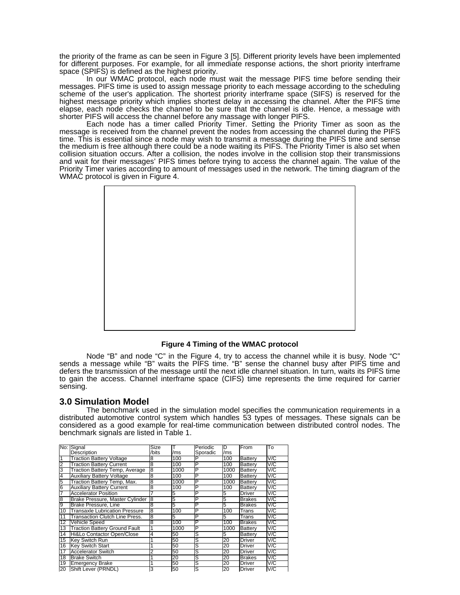the priority of the frame as can be seen in Figure 3 [5]. Different priority levels have been implemented for different purposes. For example, for all immediate response actions, the short priority interframe space (SPIFS) is defined as the highest priority.

In our WMAC protocol, each node must wait the message PIFS time before sending their messages. PIFS time is used to assign message priority to each message according to the scheduling scheme of the user's application. The shortest priority interframe space (SIFS) is reserved for the highest message priority which implies shortest delay in accessing the channel. After the PIFS time elapse, each node checks the channel to be sure that the channel is idle. Hence, a message with shorter PIFS will access the channel before any massage with longer PIFS.

Each node has a timer called Priority Timer. Setting the Priority Timer as soon as the message is received from the channel prevent the nodes from accessing the channel during the PIFS time. This is essential since a node may wish to transmit a message during the PIFS time and sense the medium is free although there could be a node waiting its PIFS. The Priority Timer is also set when collision situation occurs. After a collision, the nodes involve in the collision stop their transmissions and wait for their messages' PIFS times before trying to access the channel again. The value of the Priority Timer varies according to amount of messages used in the network. The timing diagram of the WMAC protocol is given in Figure 4.



#### **Figure 4 Timing of the WMAC protocol**

Node "B" and node "C" in the Figure 4, try to access the channel while it is busy. Node "C" sends a message while "B" waits the PIFS time. "B" sense the channel busy after PIFS time and defers the transmission of the message until the next idle channel situation. In turn, waits its PIFS time to gain the access. Channel interframe space (CIFS) time represents the time required for carrier sensing.

## **3.0 Simulation Model**

The benchmark used in the simulation model specifies the communication requirements in a distributed automotive control system which handles 53 types of messages. These signals can be considered as a good example for real-time communication between distributed control nodes. The benchmark signals are listed in Table 1.

|                | No: Signal                           | Size           |      | Periodic | D    | From           | To  |
|----------------|--------------------------------------|----------------|------|----------|------|----------------|-----|
|                | Description                          | /bits          | /ms  | Sporadic | /ms  |                |     |
|                | <b>Traction Battery Voltage</b>      | 8              | 100  | P        | 100  | Battery        | V/C |
| 2              | <b>Traction Battery Current</b>      | 8              | 100  | P        | 100  | <b>Battery</b> | V/C |
| 3              | Traction Battery Temp, Average       | 8              | 1000 | P        | 1000 | <b>Battery</b> | V/C |
| $\overline{4}$ | <b>Auxiliary Battery Voltage</b>     | 8              | 100  | P        | 100  | Battery        | V/C |
| 5              | Traction Battery Temp, Max.          | 8              | 1000 | P        | 1000 | Battery        | V/C |
| 6              | <b>Auxiliary Battery Current</b>     | 8              | 100  | P        | 100  | Battery        | V/C |
|                | <b>Accelerator Position</b>          | 7              | 5    | P        | 5    | Driver         | V/C |
| 8              | Brake Pressure, Master Cylinder      | $\overline{8}$ | 5    | P        | 5    | <b>Brakes</b>  | V/C |
| 9              | <b>Brake Pressure, Line</b>          | 8              | 5    | P        | 5    | <b>Brakes</b>  | V/C |
| 10             | Transaxle Lubrication Pressure       | 8              | 100  | P        | 100  | Trans          | V/C |
| 11             | Transaction Clutch Line Press.       | 8              | 5    | P        | 5    | Trans          | V/C |
| 12             | Vehicle Speed                        | 8              | 100  | P        | 100  | <b>Brakes</b>  | V/C |
| 13             | <b>Traction Battery Ground Fault</b> |                | 1000 | P        | 1000 | <b>Battery</b> | V/C |
| 14             | Hi&Lo Contactor Open/Close           | 4              | 50   | S        | 5    | Battery        | V/C |
| 15             | Kev Switch Run                       |                | 50   | S        | 20   | <b>Driver</b>  | V/C |
| 16             | <b>Kev Switch Start</b>              |                | 50   | S        | 20   | Driver         | V/C |
| 17             | <b>Accelerator Switch</b>            | 2              | 50   | S        | 20   | Driver         | V/C |
| 18             | <b>Brake Switch</b>                  |                | 20   | S        | 20   | <b>Brakes</b>  | V/C |
| 19             | <b>Emergency Brake</b>               |                | 50   | S        | 20   | Driver         | V/C |
| 20             | Shift Lever (PRNDL)                  | 3              | 50   | s        | 20   | <b>Driver</b>  | V/C |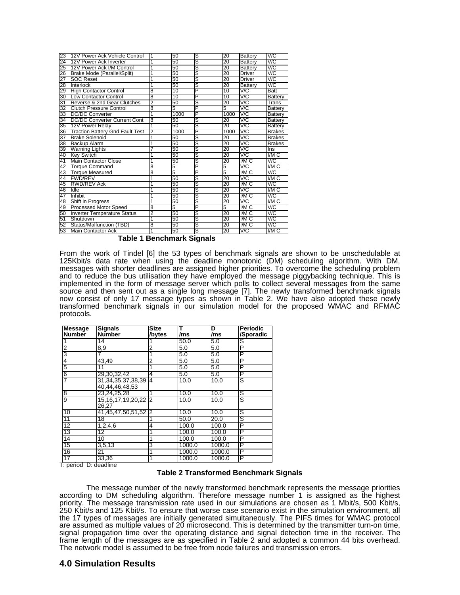| 23 | 12V Power Ack Vehicle Control          | 1 | 50   | S | 20              | Battery        | V/C            |
|----|----------------------------------------|---|------|---|-----------------|----------------|----------------|
| 24 | 12V Power Ack Inverter                 | 1 | 50   | Ŝ | $\overline{20}$ | Battery        | V/C            |
| 25 | 12V Power Ack I/M Control              | 1 | 50   | Ŝ | 20              | <b>Battery</b> | V/C            |
| 26 | Brake Mode (Parallel/Split)            | 1 | 50   | S | 20              | <b>Driver</b>  | V/C            |
| 27 | <b>SOC Reset</b>                       | 1 | 50   | Ŝ | 20              | Driver         | V/C            |
| 28 | Interlock                              | 1 | 50   | Ś | 20              | <b>Battery</b> | V/C            |
| 29 | <b>High Contactor Control</b>          | 8 | 10   | P | 10              | V/C            | Batt           |
| 30 | <b>Low Contactor Control</b>           | 8 | 10   | P | 10              | V/C            | Battery        |
| 31 | Reverse & 2nd Gear Clutches            | 2 | 50   | S | 20              | V/C            | Trans          |
| 32 | <b>Clutch Pressure Control</b>         | 8 | 5    | P | 5               | V/C            | <b>Battery</b> |
| 33 | <b>DC/DC Converter</b>                 | 1 | 1000 | P | 1000            | V/C            | Battery        |
| 34 | <b>DC/DC Converter Current Cont</b>    | 8 | 50   | S | 20              | V/C            | <b>Battery</b> |
| 35 | 12V Power Relay                        | 1 | 50   | S | 20              | V/C            | <b>Battery</b> |
| 36 | <b>Traction Battery Gnd Fault Test</b> | 2 | 1000 | P | 1000            | V/C            | <b>Brakes</b>  |
| 37 | <b>Brake Solenoid</b>                  | 1 | 50   | S | 20              | V/C            | <b>Brakes</b>  |
| 38 | <b>Backup Alarm</b>                    |   | 50   | S | 20              | V/C            | <b>Brakes</b>  |
| 39 | <b>Warning Lights</b>                  |   | 50   | S | 20              | V/C            | Ins            |
| 40 | <b>Key Switch</b>                      | 1 | 50   | Ŝ | 20              | V/C            | I/M C          |
| 41 | <b>Main Contactor Close</b>            | 1 | 50   | S | 20              | I/M C          | V/C            |
| 42 | <b>Torque Command</b>                  | 8 | 5    | P | 5               | V/C            | VMC            |
| 43 | <b>Torque Measured</b>                 | 8 | 5    | P | 5               | VMC            | V/C            |
| 44 | <b>FWD/REV</b>                         | 1 | 50   | S | 20              | V/C            | I/M C          |
| 45 | <b>RWD/REV Ack</b>                     | 1 | 50   | s | $\overline{20}$ | IMC            | V/C            |
| 46 | Idle                                   | 1 | 50   | ड | 20              | V/C            | VMC            |
| 47 | Inhibit                                | 1 | 50   | S | 20              | I/M C          | V/C            |
| 48 | Shift in Progress                      | 1 | 50   | Ŝ | $\overline{20}$ | V/C            | VMC            |
| 49 | <b>Processed Motor Speed</b>           | 8 | 5    | P | 5               | VMC            | V/C            |
| 50 | <b>Inverter Temperature Status</b>     | 2 | 50   | S | 20              | I/M C          | V/C            |
| 51 | Shutdown                               | 1 | 50   | Ŝ | 20              | VMC            | V/C            |
| 52 | Status/Malfunction (TBD)               | 8 | 50   | s | 20              | IMC            | V/C            |
| 53 | Main Contactor Ack                     | 1 | 50   | S | 20              | V/C            | I/M C          |

 **Table 1 Benchmark Signals**

From the work of Tindel [6] the 53 types of benchmark signals are shown to be unschedulable at 125Kbit/s data rate when using the deadline monotonic (DM) scheduling algorithm. With DM, messages with shorter deadlines are assigned higher priorities. To overcome the scheduling problem and to reduce the bus utilisation they have employed the message piggybacking technique. This is implemented in the form of message server which polls to collect several messages from the same source and then sent out as a single long message [7]. The newly transformed benchmark signals now consist of only 17 message types as shown in Table 2. We have also adopted these newly transformed benchmark signals in our simulation model for the proposed WMAC and RFMAC protocols.

| <b>Message</b>  | <b>Signals</b>                           | <b>Size</b>   | т      | D      | <b>Periodic</b> |
|-----------------|------------------------------------------|---------------|--------|--------|-----------------|
| <b>Number</b>   | <b>Number</b>                            | /bytes        | /ms    | /ms    | /Sporadic       |
|                 | 14                                       |               | 50.0   | 5.0    | S               |
| 2               | $8,\overline{9}$                         | 2             | 5.0    | 5.0    | P               |
| 3               |                                          |               | 5.0    | 5.0    | P               |
| 4               | 43,49                                    | 2             | 5.0    | 5.0    | P               |
| 5               | 11                                       |               | 5.0    | 5.0    | P               |
| 6               | 29,30,32,42                              | 4             | 5.0    | 5.0    | P               |
|                 | 31, 34, 35, 37, 38, 39<br>40,44,46,48,53 | 4             | 10.0   | 10.0   | s               |
| 8               | 23,24,25,28                              |               | 10.0   | 10.0   | S               |
| 9               | 15, 16, 17, 19, 20, 22<br>26,27          | $\mathcal{P}$ | 10.0   | 10.0   | S               |
| 10              | 41,45,47,50,51,52                        | 12            | 10.0   | 10.0   | S               |
| $\overline{11}$ | 18                                       |               | 50.0   | 20.0   | s               |
| $\overline{12}$ | 1,2,4,6                                  | 4             | 100.0  | 100.0  | P               |
| 13              | 12                                       |               | 100.0  | 100.0  | P               |
| 14              | 10                                       |               | 100.0  | 100.0  | P               |
| 15              | 3,5,13                                   | 3             | 1000.0 | 1000.0 | P               |
| 16              | 21                                       |               | 1000.0 | 1000.0 | P               |
| 17              | 33,36                                    | 1             | 1000.0 | 1000.0 | P               |

T: period D: deadline

#### **Table 2 Transformed Benchmark Signals**

The message number of the newly transformed benchmark represents the message priorities according to DM scheduling algorithm. Therefore message number 1 is assigned as the highest priority. The message transmission rate used in our simulations are chosen as 1 Mbit/s, 500 Kbit/s, 250 Kbit/s and 125 Kbit/s. To ensure that worse case scenario exist in the simulation environment, all the 17 types of messages are initially generated simultaneously. The PIFS times for WMAC protocol are assumed as multiple values of 20 microsecond. This is determined by the transmitter turn-on time, signal propagation time over the operating distance and signal detection time in the receiver. The frame length of the messages are as specified in Table 2 and adopted a common 44 bits overhead. The network model is assumed to be free from node failures and transmission errors.

## **4.0 Simulation Results**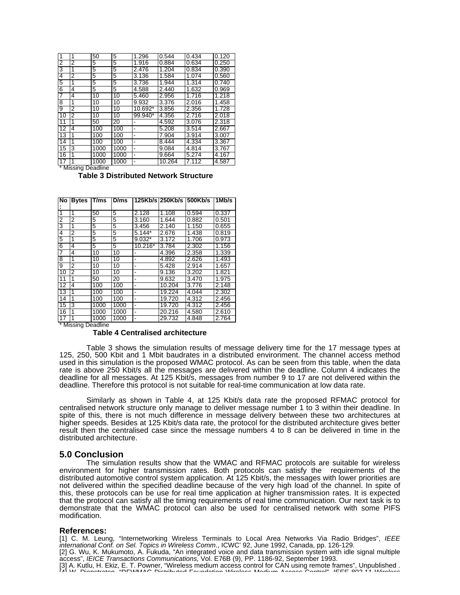| 1               | 1 | 50   | 5    | 1.296   | 0.544  | 0.434 | 0.120 |
|-----------------|---|------|------|---------|--------|-------|-------|
| 2               | 2 | 5    | 5    | 1.916   | 0.884  | 0.634 | 0.250 |
| 3               | 1 | 5    | 5    | 2.476   | 1.204  | 0.834 | 0.390 |
| 4               | 2 | 5    | 5    | 3.136   | 1.584  | 1.074 | 0.560 |
| 5               | 1 | 5    | 5    | 3.736   | 1.944  | 1.314 | 0.740 |
| 6               | 4 | 5    | 5    | 4.588   | 2.440  | 1.632 | 0.969 |
| 7               | 4 | 10   | 10   | 5.460   | 2.956  | 1.716 | 1.218 |
| 8               | 1 | 10   | 10   | 9.932   | 3.376  | 2.016 | 1.458 |
| 9               | 2 | 10   | 10   | 10.692* | 3.856  | 2.356 | 1.728 |
| 10              | 2 | 10   | 10   | 99.940* | 4.356  | 2.716 | 2.018 |
| 11              | 1 | 50   | 20   |         | 4.592  | 3.076 | 2.318 |
| 12              | 4 | 100  | 100  |         | 5.208  | 3.514 | 2.667 |
| $\overline{13}$ | 1 | 100  | 100  |         | 7.904  | 3.914 | 3.007 |
| 14              | 1 | 100  | 100  |         | 8.444  | 4.334 | 3.367 |
| 15              | 3 | 1000 | 1000 |         | 9.084  | 4.814 | 3.767 |
| 16              | 1 | 1000 | 1000 |         | 9.664  | 5.274 | 4.167 |
| 17              |   | 1000 | 1000 |         | 10.264 | 7.112 | 4.587 |

\* Missing Deadline

 **Table 3 Distributed Network Structure**

| No             | <b>Bytes</b> | T/ms             | D/ms            |                          |        | 125Kb/s 250Kb/s 500Kb/s | 1Mb/s |
|----------------|--------------|------------------|-----------------|--------------------------|--------|-------------------------|-------|
|                |              |                  |                 |                          |        |                         |       |
| 1              | 1            | 50               | 5               | 2.128                    | 1.108  | 0.594                   | 0.337 |
| 2              | 2            | 5                | 5               | 3.160                    | 1.644  | 0.882                   | 0.501 |
| 3              | 1            | 5                | 5               | 3.456                    | 2.140  | 1.150                   | 0.655 |
| 4              | 2            | 5                | 5               | $5.144*$                 | 2.676  | 1.438                   | 0.819 |
| $\overline{5}$ | 1            | 5                | 5               | $9.032*$                 | 3.172  | 1.706                   | 0.973 |
| 6              | 4            | 5                | 5               | 10.216*                  | 3.784  | 2.302                   | 1.156 |
| 7              | 4            | 10               | 10              |                          | 4.396  | 2.358                   | 1.339 |
| 8              | 1            | 10               | 10              | -                        | 4.892  | 2.626                   | 1.493 |
| 9              | 2            | 10               | 10              | -                        | 5.428  | 2.914                   | 1.657 |
| 10             | 2            | 10               | 10              | ۰                        | 9.136  | 3.202                   | 1.821 |
| 11             | 1            | 50               | $\overline{20}$ | $\blacksquare$           | 9.632  | 3.470                   | 1.975 |
| 12             | 4            | 100              | 100             | $\overline{\phantom{0}}$ | 10.204 | 3.776                   | 2.148 |
| 13             | 1            | 100              | 100             | $\overline{\phantom{0}}$ | 19.224 | 4.044                   | 2.302 |
| 14             | 1            | 100              | 100             | $\overline{\phantom{0}}$ | 19.720 | 4.312                   | 2.456 |
| 15             | 3            | 1000             | 1000            | -                        | 19.720 | 4.312                   | 2.456 |
| 16             |              | 1000             | 1000            | ٠                        | 20.216 | 4.580                   | 2.610 |
| 17<br>.        | -            | 1000<br>$\cdots$ | 1000            | -                        | 29.732 | 4.848                   | 2.764 |

**Missing Deadline** 

#### **Table 4 Centralised architecture**

Table 3 shows the simulation results of message delivery time for the 17 message types at 125, 250, 500 Kbit and 1 Mbit baudrates in a distributed environment. The channel access method used in this simulation is the proposed WMAC protocol. As can be seen from this table, when the data rate is above 250 Kbit/s all the messages are delivered within the deadline. Column 4 indicates the deadline for all messages. At 125 Kbit/s, messages from number 9 to 17 are not delivered within the deadline. Therefore this protocol is not suitable for real-time communication at low data rate.

Similarly as shown in Table 4, at 125 Kbit/s data rate the proposed RFMAC protocol for centralised network structure only manage to deliver message number 1 to 3 within their deadline. In spite of this, there is not much difference in message delivery between these two architectures at higher speeds. Besides at 125 Kbit/s data rate, the protocol for the distributed architecture gives better result then the centralised case since the message numbers 4 to 8 can be delivered in time in the distributed architecture.

#### **5.0 Conclusion**

The simulation results show that the WMAC and RFMAC protocols are suitable for wireless environment for higher transmission rates. Both protocols can satisfy the requirements of the distributed automotive control system application. At 125 Kbit/s, the messages with lower priorities are not delivered within the specified deadline because of the very high load of the channel. In spite of this, these protocols can be use for real time application at higher transmission rates. It is expected that the protocol can satisfy all the timing requirements of real time communication. Our next task is to demonstrate that the WMAC protocol can also be used for centralised network with some PIFS modification.

#### **References:**

[1] C. M. Leung, "Internetworking Wireless Terminals to Local Area Networks Via Radio Bridges", *IEEE international Conf. on Sel. Topics in Wireless Comm*., ICWC' 92, June 1992, Canada, pp. 126-129. [2] G. Wu, K. Mukumoto, A. Fukuda, "An integrated voice and data transmission system with idle signal multiple

access", *IEICE Transactions Communications,* Vol. E76B (9), PP. 1186-92, September 1993.

[3] A. Kutlu, H. Ekiz, E. T. Powner, "Wireless medium access control for CAN using remote frames", Unpublished . [4] W. Diepstraten, "DFWMAC Distributed Foundation Wireless Medium Access Control", *IEEE 802.11 Wireless*